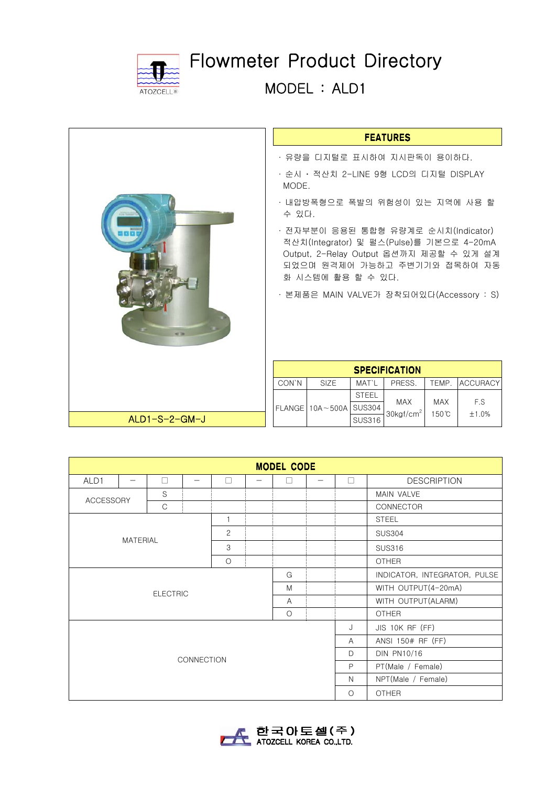

 $ALD1-S-2-GM-J$ 

Flowmeter Product Directory

MODEL : ALD1

## **FEATURES**

- ∙ 유량을 디지털로 표시하여 지시판독이 용이하다.
- ∙ 순시 ‧ 적산치 2-LINE 9형 LCD의 디지털 DISPLAY MODE.
- ∙ 내압방폭형으로 폭발의 위험성이 있는 지역에 사용 할 수 있다.
- ∙ 전자부분이 응용된 통합형 유량계로 순시치(Indicator) 적산치(Integrator) 및 펄스(Pulse)를 기본으로 4-20mA Output, 2-Relay Output 옵션까지 제공할 수 있게 설계 되었으며 원격제어 가능하고 주변기기와 접목하여 자동 화 시스템에 활용 할 수 있다.
- ∙ 본제품은 MAIN VALVE가 장착되어있다(Accessory : S)

| <b>SPECIFICATION</b> |                              |               |                               |                               |                |  |  |  |
|----------------------|------------------------------|---------------|-------------------------------|-------------------------------|----------------|--|--|--|
| CON'N                | SIZE.                        | MAT'L         | PRESS.                        |                               | TEMP. ACCURACY |  |  |  |
|                      |                              | <b>STEEL</b>  |                               |                               |                |  |  |  |
|                      | FLANGE   10A ~ 500A   SUS304 |               | <b>MAX</b><br>$30$ kgf/cm $2$ | <b>MAX</b><br>$150^{\circ}$ C | F.S<br>$+1.0%$ |  |  |  |
|                      |                              | <b>SUS316</b> |                               |                               |                |  |  |  |

| <b>MODEL CODE</b>         |  |                 |   |         |  |                          |                   |                              |                     |              |                    |
|---------------------------|--|-----------------|---|---------|--|--------------------------|-------------------|------------------------------|---------------------|--------------|--------------------|
| ALD1                      |  | П               |   | П       |  | $\overline{\phantom{a}}$ |                   | $\mathbb{L}$                 | <b>DESCRIPTION</b>  |              |                    |
| <b>ACCESSORY</b>          |  | S               |   |         |  |                          |                   |                              | MAIN VALVE          |              |                    |
|                           |  | C               |   |         |  |                          |                   |                              | <b>CONNECTOR</b>    |              |                    |
| 1<br>$\overline{c}$       |  |                 |   |         |  |                          |                   | <b>STEEL</b>                 |                     |              |                    |
|                           |  |                 |   |         |  |                          |                   |                              | <b>SUS304</b>       |              |                    |
| <b>MATERIAL</b>           |  |                 | 3 |         |  |                          |                   | <b>SUS316</b>                |                     |              |                    |
|                           |  |                 |   | $\circ$ |  |                          |                   |                              | <b>OTHER</b>        |              |                    |
| G                         |  |                 |   |         |  |                          |                   | INDICATOR, INTEGRATOR, PULSE |                     |              |                    |
|                           |  | <b>ELECTRIC</b> |   |         |  | M                        |                   |                              | WITH OUTPUT(4-20mA) |              |                    |
| $\overline{A}$<br>$\circ$ |  |                 |   |         |  |                          |                   |                              | WITH OUTPUT(ALARM)  |              |                    |
|                           |  |                 |   |         |  |                          | <b>OTHER</b>      |                              |                     |              |                    |
| <b>CONNECTION</b>         |  |                 |   |         |  | J                        | JIS 10K RF (FF)   |                              |                     |              |                    |
|                           |  |                 |   |         |  | $\mathsf{A}$             | ANSI 150# RF (FF) |                              |                     |              |                    |
|                           |  |                 |   |         |  |                          |                   |                              |                     | $\mathsf{D}$ | <b>DIN PN10/16</b> |
|                           |  |                 |   |         |  |                          |                   |                              |                     | $\mathsf{P}$ | PT(Male / Female)  |
|                           |  |                 |   |         |  |                          |                   | $\mathbb N$                  | NPT(Male / Female)  |              |                    |
|                           |  |                 |   |         |  | $\circ$                  | <b>OTHER</b>      |                              |                     |              |                    |